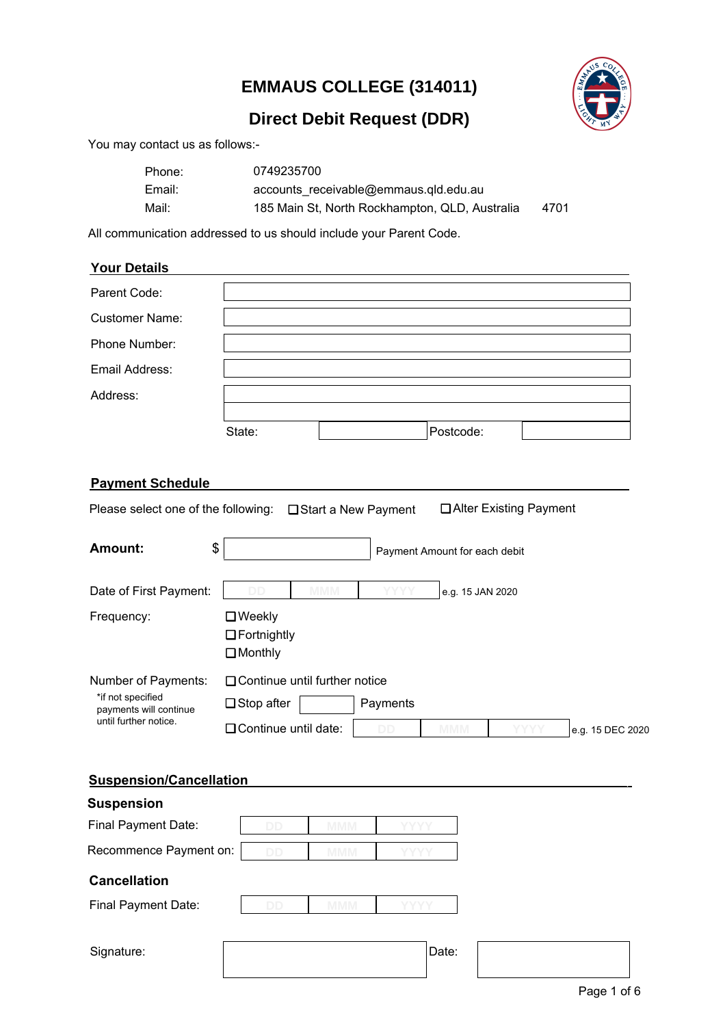# **EMMAUS COLLEGE (314011)**



# **Direct Debit Request (DDR)**

You may contact us as follows:-

| Phone: | 0749235700                                     |      |
|--------|------------------------------------------------|------|
| Email: | accounts receivable@emmaus.qld.edu.au          |      |
| Mail:  | 185 Main St, North Rockhampton, QLD, Australia | 4701 |

All communication addressed to us should include your Parent Code.

| <b>Your Details</b>                         |                                  |                       |          |                               |                          |                  |
|---------------------------------------------|----------------------------------|-----------------------|----------|-------------------------------|--------------------------|------------------|
| Parent Code:                                |                                  |                       |          |                               |                          |                  |
| <b>Customer Name:</b>                       |                                  |                       |          |                               |                          |                  |
| Phone Number:                               |                                  |                       |          |                               |                          |                  |
| Email Address:                              |                                  |                       |          |                               |                          |                  |
| Address:                                    |                                  |                       |          |                               |                          |                  |
|                                             | State:                           |                       |          | Postcode:                     |                          |                  |
| <b>Payment Schedule</b>                     |                                  |                       |          |                               |                          |                  |
| Please select one of the following:         |                                  | □ Start a New Payment |          |                               | □ Alter Existing Payment |                  |
| \$<br><b>Amount:</b>                        |                                  |                       |          | Payment Amount for each debit |                          |                  |
| Date of First Payment:                      | <b>MMM</b><br>DD                 |                       |          | e.g. 15 JAN 2020              |                          |                  |
| Frequency:                                  | Weekly<br>Fortnightly<br>Monthly |                       |          |                               |                          |                  |
| Number of Payments:                         | Continue until further notice    |                       |          |                               |                          |                  |
| *if not specified<br>payments will continue | Stop after                       |                       | Payments |                               |                          |                  |
| until further notice.                       | Continue until date:             |                       | DD       | <b>MMM</b>                    | YYYY                     | e.g. 15 DEC 2020 |
| <b>Suspension/Cancellation</b>              |                                  |                       |          |                               |                          |                  |
| <b>Suspension</b>                           |                                  |                       |          |                               |                          |                  |
| Final Payment Date:                         | DD                               | <b>MMM</b>            | YYYY     |                               |                          |                  |
| Recommence Payment on:                      | <b>DD</b>                        | <b>MMM</b>            | YYYY     |                               |                          |                  |
| <b>Cancellation</b>                         |                                  |                       |          |                               |                          |                  |
| Final Payment Date:                         | DD                               | <b>MMM</b>            | YYYY     |                               |                          |                  |
| Signature:                                  |                                  |                       |          | Date:                         |                          |                  |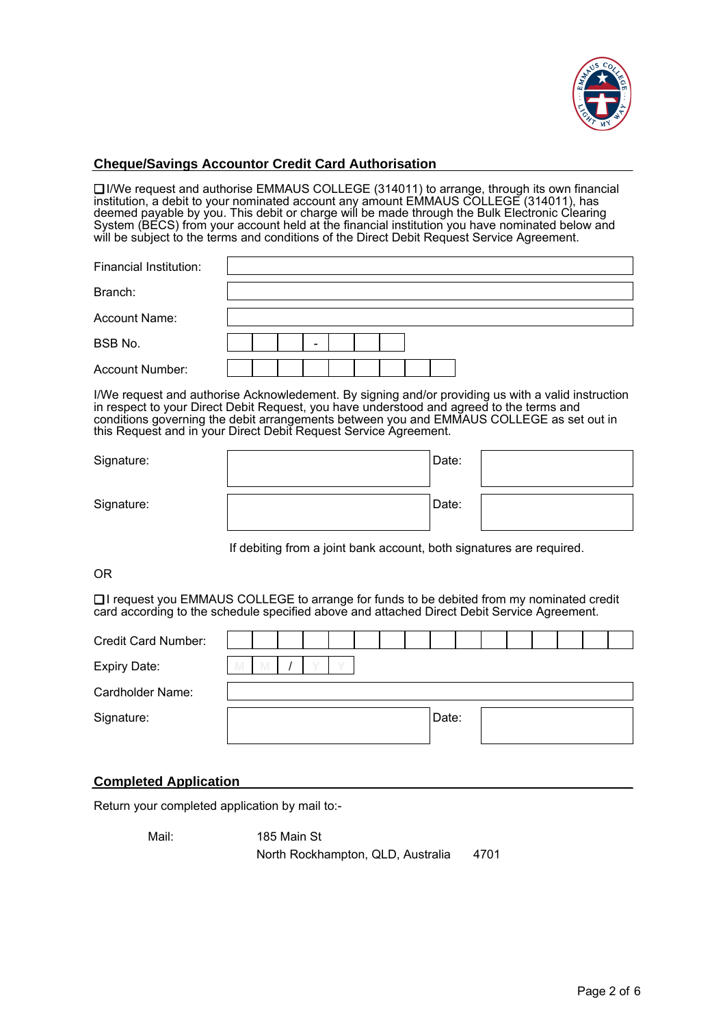

# **Cheque/Savings Accountor Credit Card Authorisation**

I/We request and authorise EMMAUS COLLEGE (314011) to arrange, through its own financial institution, a debit to your nominated account any amount EMMAUS COLLEGE (314011), has deemed payable by you. This debit or charge will be made through the Bulk Electronic Clearing System (BECS) from your account held at the financial institution you have nominated below and will be subject to the terms and conditions of the Direct Debit Request Service Agreement.

| Financial Institution: |  |                          |  |  |  |  |  |  |
|------------------------|--|--------------------------|--|--|--|--|--|--|
| Branch:                |  |                          |  |  |  |  |  |  |
| Account Name:          |  |                          |  |  |  |  |  |  |
| BSB No.                |  | $\overline{\phantom{0}}$ |  |  |  |  |  |  |
| Account Number:        |  |                          |  |  |  |  |  |  |

I/We request and authorise Acknowledement. By signing and/or providing us with a valid instruction in respect to your Direct Debit Request, you have understood and agreed to the terms and conditions governing the debit arrangements between you and EMMAUS COLLEGE as set out in this Request and in your Direct Debit Request Service Agreement.

| Signature: | Date: |  |
|------------|-------|--|
| Signature: | Date: |  |

If debiting from a joint bank account, both signatures are required.

OR

I request you EMMAUS COLLEGE to arrange for funds to be debited from my nominated credit card according to the schedule specified above and attached Direct Debit Service Agreement.

| Credit Card Number: |   |  |  |  |       |  |  |  |  |
|---------------------|---|--|--|--|-------|--|--|--|--|
| Expiry Date:        | M |  |  |  |       |  |  |  |  |
| Cardholder Name:    |   |  |  |  |       |  |  |  |  |
| Signature:          |   |  |  |  | Date: |  |  |  |  |

# **Completed Application**

Return your completed application by mail to:-

Mail: 185 Main St North Rockhampton, QLD, Australia 4701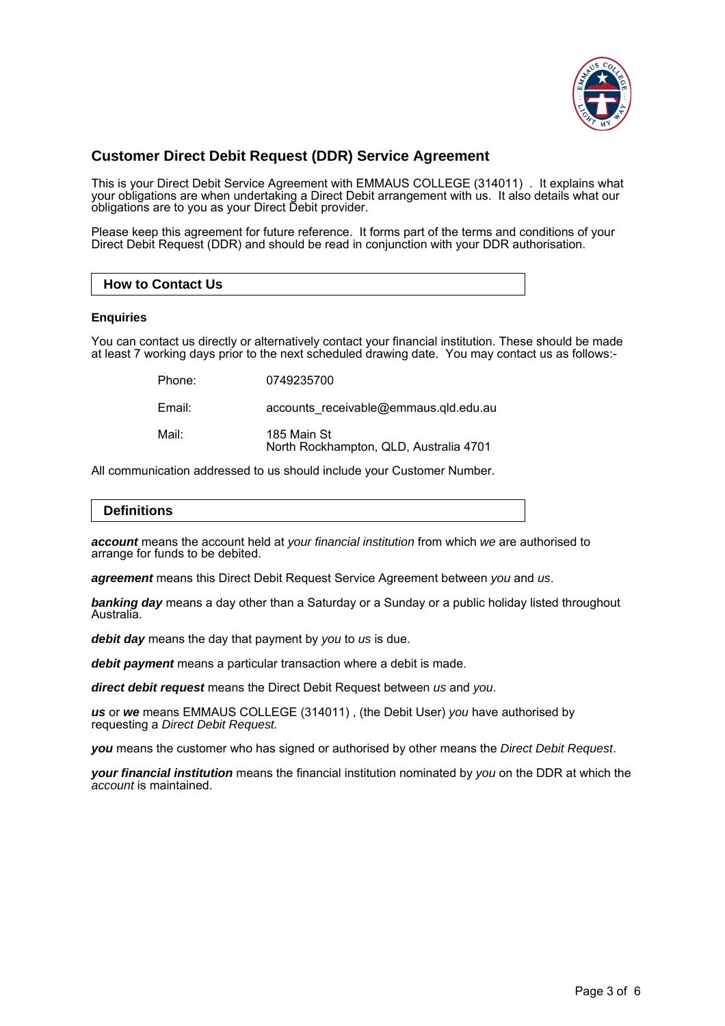

# **Customer Direct Debit Request (DDR) Service Agreement**

This is your Direct Debit Service Agreement with EMMAUS COLLEGE (314011) . It explains what your obligations are when undertaking a Direct Debit arrangement with us. It also details what our obligations are to you as your Direct Debit provider.

Please keep this agreement for future reference. It forms part of the terms and conditions of your Direct Debit Request (DDR) and should be read in conjunction with your DDR authorisation.

## **How to Contact Us**

### **Enquiries**

You can contact us directly or alternatively contact your financial institution. These should be made at least 7 working days prior to the next scheduled drawing date. You may contact us as follows:-

| Phone: | 0749235700                                            |
|--------|-------------------------------------------------------|
| Email: | accounts receivable@emmaus.qld.edu.au                 |
| Mail:  | 185 Main St<br>North Rockhampton, QLD, Australia 4701 |

All communication addressed to us should include your Customer Number.

| <b>Definitions</b> |
|--------------------|
|                    |

**account** means the account held at your financial institution from which we are authorised to arrange for funds to be debited.

**agreement** means this Direct Debit Request Service Agreement between you and us.

**banking day** means a day other than a Saturday or a Sunday or a public holiday listed throughout Australia.

debit day means the day that payment by you to us is due.

**debit payment** means a particular transaction where a debit is made.

**direct debit request** means the Direct Debit Request between us and you.

**us** or **we** means EMMAUS COLLEGE (314011) , (the Debit User) you have authorised by requesting a Direct Debit Request.

**you** means the customer who has signed or authorised by other means the Direct Debit Request.

**your financial institution** means the financial institution nominated by you on the DDR at which the account is maintained.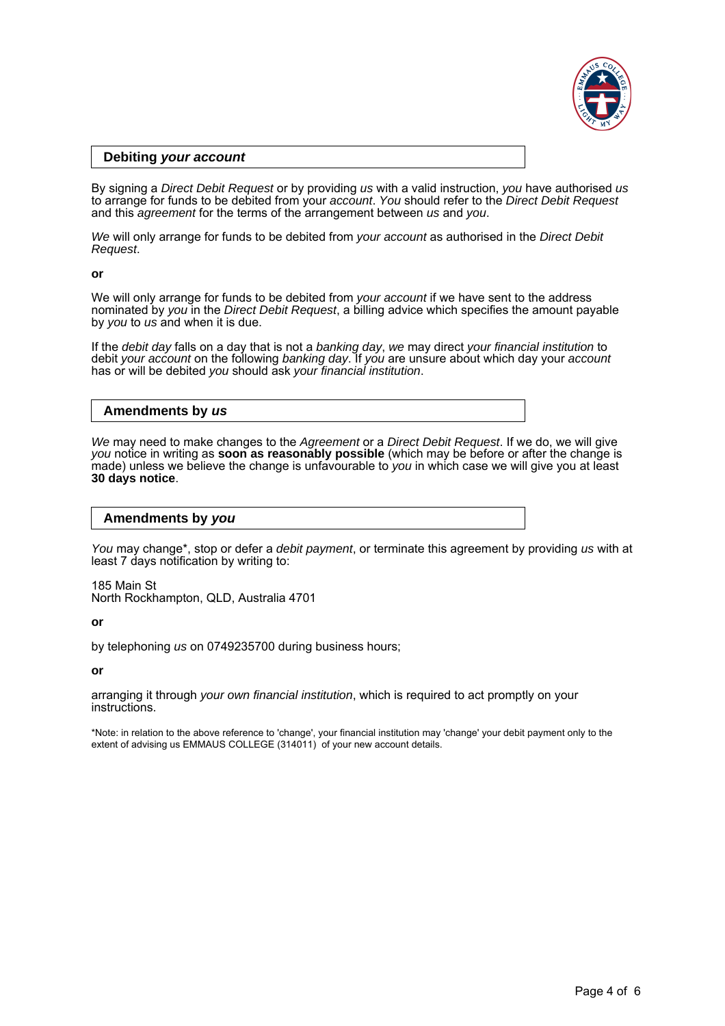

## **Debiting your account**

By signing a Direct Debit Request or by providing us with a valid instruction, you have authorised us to arrange for funds to be debited from your *account. You* should refer to the *Direct Debit Request* and this *agreement* for the terms of the arrangement between us and you.

We will only arrange for funds to be debited from your account as authorised in the Direct Debit Request.

#### **or**

We will only arrange for funds to be debited from your account if we have sent to the address nominated by you in the Direct Debit Request, a billing advice which specifies the amount payable by you to us and when it is due.

If the *debit day* falls on a day that is not a banking day, we may direct your financial institution to debit your account on the following banking day. If you are unsure about which day your account has or will be debited you should ask your financial institution.

## **Amendments by us**

We may need to make changes to the Agreement or a Direct Debit Request. If we do, we will give you notice in writing as **soon as reasonably possible** (which may be before or after the change is made) unless we believe the change is unfavourable to you in which case we will give you at least **30 days notice**.

## **Amendments by you**

You may change<sup>\*</sup>, stop or defer a *debit payment*, or terminate this agreement by providing us with at least 7 days notification by writing to:

185 Main St North Rockhampton, QLD, Australia 4701

**or**

by telephoning us on 0749235700 during business hours;

**or**

arranging it through your own financial institution, which is required to act promptly on your instructions.

\*Note: in relation to the above reference to 'change', your financial institution may 'change' your debit payment only to the extent of advising us EMMAUS COLLEGE (314011) of your new account details.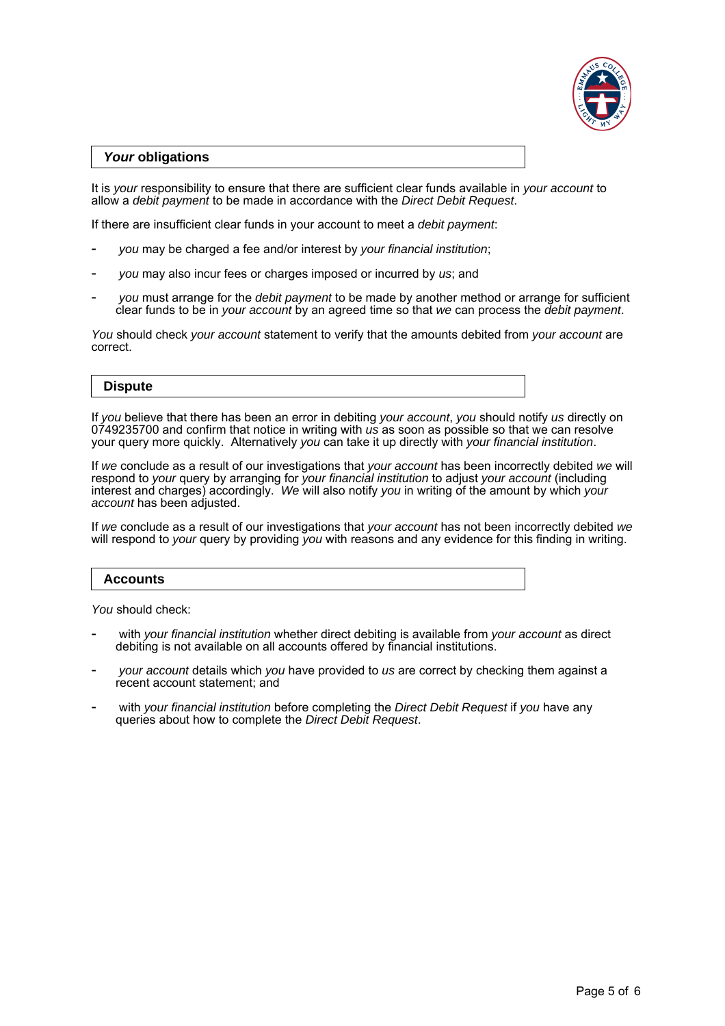

# **Your obligations**

It is your responsibility to ensure that there are sufficient clear funds available in your account to allow a debit payment to be made in accordance with the Direct Debit Request.

If there are insufficient clear funds in your account to meet a debit payment:

- you may be charged a fee and/or interest by your financial institution;
- you may also incur fees or charges imposed or incurred by us; and
- you must arrange for the debit payment to be made by another method or arrange for sufficient clear funds to be in *your account* by an agreed time so that we can process the *debit payment*.

You should check your account statement to verify that the amounts debited from your account are correct.

## **Dispute**

If you believe that there has been an error in debiting your account, you should notify us directly on  $0749235700$  and confirm that notice in writing with us as soon as possible so that we can resolve your query more quickly. Alternatively you can take it up directly with your financial institution.

If we conclude as a result of our investigations that your account has been incorrectly debited we will respond to *your* query by arranging for *your financial institution* to adjust *your account* (including interest and charges) accordingly.  $\,$  We will also notify *you* in writing of the amount by which *your* account has been adjusted.

If we conclude as a result of our investigations that your account has not been incorrectly debited we will respond to your query by providing you with reasons and any evidence for this finding in writing.

## **Accounts**

You should check:

- with your financial institution whether direct debiting is available from your account as direct debiting is not available on all accounts offered by financial institutions.
- your account details which you have provided to us are correct by checking them against a recent account statement; and
- with your financial institution before completing the Direct Debit Request if you have any queries about how to complete the Direct Debit Request.